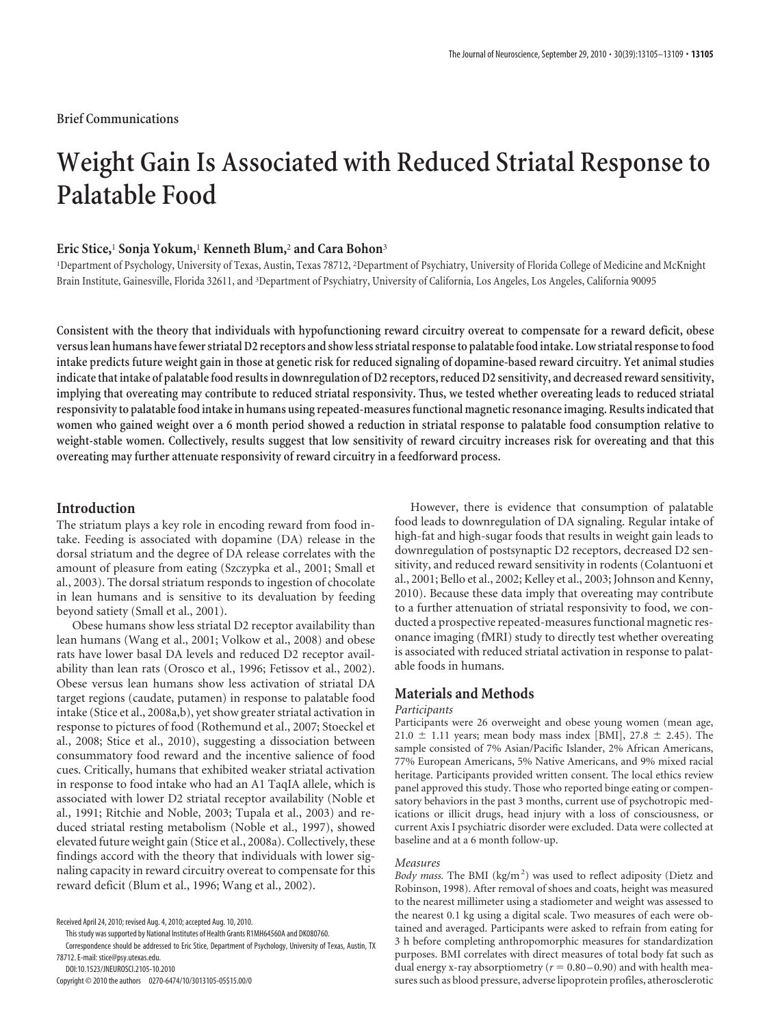## **Brief Communications**

# **Weight Gain Is Associated with Reduced Striatal Response to Palatable Food**

## **Eric Stice,**<sup>1</sup> **Sonja Yokum,**<sup>1</sup> **Kenneth Blum,**<sup>2</sup> **and Cara Bohon**<sup>3</sup>

<sup>1</sup>Department of Psychology, University of Texas, Austin, Texas 78712, <sup>2</sup>Department of Psychiatry, University of Florida College of Medicine and McKnight Brain Institute, Gainesville, Florida 32611, and <sup>3</sup>Department of Psychiatry, University of California, Los Angeles, Los Angeles, California 90095

**Consistent with the theory that individuals with hypofunctioning reward circuitry overeat to compensate for a reward deficit, obese versus lean humans havefewer striatal D2 receptors and show less striatal responseto palatablefood intake. Low striatal responsetofood intake predicts future weight gain in those at genetic risk for reduced signaling of dopamine-based reward circuitry. Yet animal studies indicatethat intake of palatable food results in downregulation of D2 receptors, reduced D2 sensitivity, and decreased reward sensitivity, implying that overeating may contribute to reduced striatal responsivity. Thus, we tested whether overeating leads to reduced striatal responsivityto palatable food intake in humans using repeated-measures functional magnetic resonance imaging. Results indicatedthat women who gained weight over a 6 month period showed a reduction in striatal response to palatable food consumption relative to weight-stable women. Collectively, results suggest that low sensitivity of reward circuitry increases risk for overeating and that this overeating may further attenuate responsivity of reward circuitry in a feedforward process.**

## **Introduction**

The striatum plays a key role in encoding reward from food intake. Feeding is associated with dopamine (DA) release in the dorsal striatum and the degree of DA release correlates with the amount of pleasure from eating (Szczypka et al., 2001; Small et al., 2003). The dorsal striatum responds to ingestion of chocolate in lean humans and is sensitive to its devaluation by feeding beyond satiety (Small et al., 2001).

Obese humans show less striatal D2 receptor availability than lean humans (Wang et al., 2001; Volkow et al., 2008) and obese rats have lower basal DA levels and reduced D2 receptor availability than lean rats (Orosco et al., 1996; Fetissov et al., 2002). Obese versus lean humans show less activation of striatal DA target regions (caudate, putamen) in response to palatable food intake (Stice et al., 2008a,b), yet show greater striatal activation in response to pictures of food (Rothemund et al., 2007; Stoeckel et al., 2008; Stice et al., 2010), suggesting a dissociation between consummatory food reward and the incentive salience of food cues. Critically, humans that exhibited weaker striatal activation in response to food intake who had an A1 TaqIA allele, which is associated with lower D2 striatal receptor availability (Noble et al., 1991; Ritchie and Noble, 2003; Tupala et al., 2003) and reduced striatal resting metabolism (Noble et al., 1997), showed elevated future weight gain (Stice et al., 2008a). Collectively, these findings accord with the theory that individuals with lower signaling capacity in reward circuitry overeat to compensate for this reward deficit (Blum et al., 1996; Wang et al., 2002).

This study was supported by National Institutes of Health Grants R1MH64560A and DK080760.

Correspondence should be addressed to Eric Stice, Department of Psychology, University of Texas, Austin, TX 78712. E-mail: stice@psy.utexas.edu.

DOI:10.1523/JNEUROSCI.2105-10.2010

Copyright © 2010 the authors 0270-6474/10/3013105-05\$15.00/0

However, there is evidence that consumption of palatable food leads to downregulation of DA signaling. Regular intake of high-fat and high-sugar foods that results in weight gain leads to downregulation of postsynaptic D2 receptors, decreased D2 sensitivity, and reduced reward sensitivity in rodents (Colantuoni et al., 2001; Bello et al., 2002; Kelley et al., 2003; Johnson and Kenny, 2010). Because these data imply that overeating may contribute to a further attenuation of striatal responsivity to food, we conducted a prospective repeated-measures functional magnetic resonance imaging (fMRI) study to directly test whether overeating is associated with reduced striatal activation in response to palatable foods in humans.

## **Materials and Methods**

### *Participants*

Participants were 26 overweight and obese young women (mean age, 21.0  $\pm$  1.11 years; mean body mass index [BMI], 27.8  $\pm$  2.45). The sample consisted of 7% Asian/Pacific Islander, 2% African Americans, 77% European Americans, 5% Native Americans, and 9% mixed racial heritage. Participants provided written consent. The local ethics review panel approved this study. Those who reported binge eating or compensatory behaviors in the past 3 months, current use of psychotropic medications or illicit drugs, head injury with a loss of consciousness, or current Axis I psychiatric disorder were excluded. Data were collected at baseline and at a 6 month follow-up.

#### *Measures*

Body mass. The BMI (kg/m<sup>2</sup>) was used to reflect adiposity (Dietz and Robinson, 1998). After removal of shoes and coats, height was measured to the nearest millimeter using a stadiometer and weight was assessed to the nearest 0.1 kg using a digital scale. Two measures of each were obtained and averaged. Participants were asked to refrain from eating for 3 h before completing anthropomorphic measures for standardization purposes. BMI correlates with direct measures of total body fat such as dual energy x-ray absorptiometry ( $r = 0.80 - 0.90$ ) and with health measures such as blood pressure, adverse lipoprotein profiles, atherosclerotic

Received April 24, 2010; revised Aug. 4, 2010; accepted Aug. 10, 2010.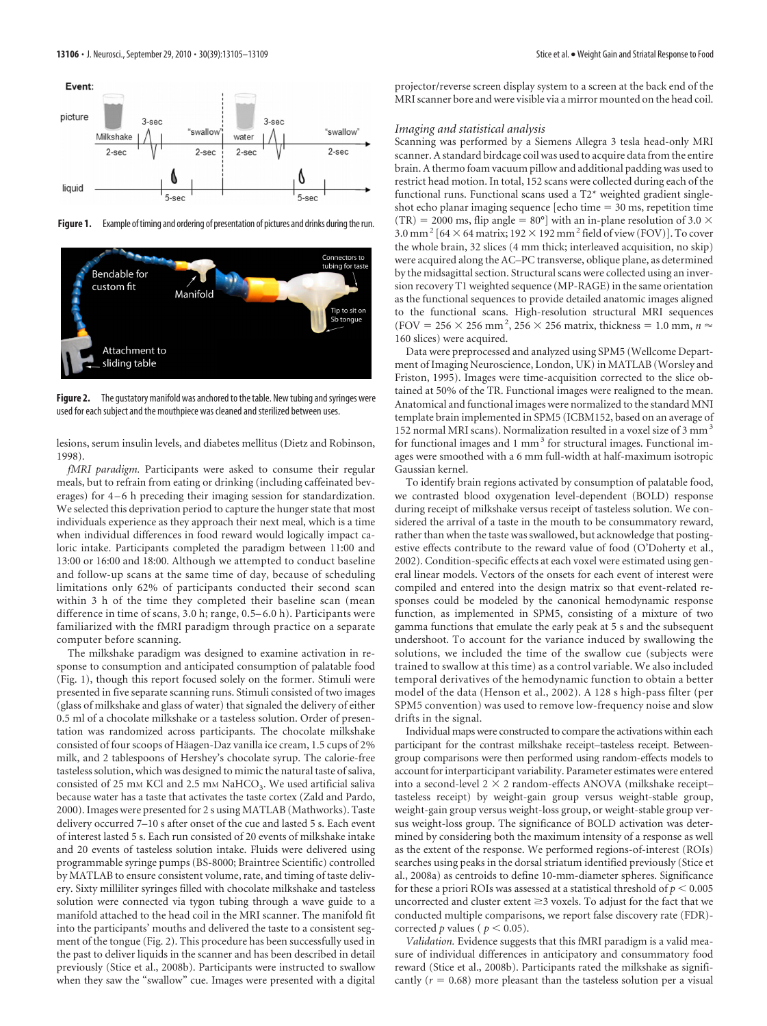

Figure 1. Example of timing and ordering of presentation of pictures and drinks during the run.



**Figure 2.** The gustatory manifold was anchored to the table. New tubing and syringes were used for each subject and the mouthpiece was cleaned and sterilized between uses.

lesions, serum insulin levels, and diabetes mellitus (Dietz and Robinson, 1998).

*fMRI paradigm.* Participants were asked to consume their regular meals, but to refrain from eating or drinking (including caffeinated beverages) for 4–6 h preceding their imaging session for standardization. We selected this deprivation period to capture the hunger state that most individuals experience as they approach their next meal, which is a time when individual differences in food reward would logically impact caloric intake. Participants completed the paradigm between 11:00 and 13:00 or 16:00 and 18:00. Although we attempted to conduct baseline and follow-up scans at the same time of day, because of scheduling limitations only 62% of participants conducted their second scan within 3 h of the time they completed their baseline scan (mean difference in time of scans, 3.0 h; range, 0.5– 6.0 h). Participants were familiarized with the fMRI paradigm through practice on a separate computer before scanning.

The milkshake paradigm was designed to examine activation in response to consumption and anticipated consumption of palatable food (Fig. 1), though this report focused solely on the former. Stimuli were presented in five separate scanning runs. Stimuli consisted of two images (glass of milkshake and glass of water) that signaled the delivery of either 0.5 ml of a chocolate milkshake or a tasteless solution. Order of presentation was randomized across participants. The chocolate milkshake consisted of four scoops of Häagen-Daz vanilla ice cream, 1.5 cups of 2% milk, and 2 tablespoons of Hershey's chocolate syrup. The calorie-free tasteless solution, which was designed to mimic the natural taste of saliva, consisted of 25 mm KCl and 2.5 mm NaHCO<sub>3</sub>. We used artificial saliva because water has a taste that activates the taste cortex (Zald and Pardo, 2000). Images were presented for 2 s using MATLAB (Mathworks). Taste delivery occurred 7–10 s after onset of the cue and lasted 5 s. Each event of interest lasted 5 s. Each run consisted of 20 events of milkshake intake and 20 events of tasteless solution intake. Fluids were delivered using programmable syringe pumps (BS-8000; Braintree Scientific) controlled by MATLAB to ensure consistent volume, rate, and timing of taste delivery. Sixty milliliter syringes filled with chocolate milkshake and tasteless solution were connected via tygon tubing through a wave guide to a manifold attached to the head coil in the MRI scanner. The manifold fit into the participants' mouths and delivered the taste to a consistent segment of the tongue (Fig. 2). This procedure has been successfully used in the past to deliver liquids in the scanner and has been described in detail previously (Stice et al., 2008b). Participants were instructed to swallow when they saw the "swallow" cue. Images were presented with a digital

projector/reverse screen display system to a screen at the back end of the MRI scanner bore and were visible via a mirror mounted on the head coil.

#### *Imaging and statistical analysis*

Scanning was performed by a Siemens Allegra 3 tesla head-only MRI scanner. A standard birdcage coil was used to acquire data from the entire brain. A thermo foam vacuum pillow and additional padding was used to restrict head motion. In total, 152 scans were collected during each of the functional runs. Functional scans used a T2\* weighted gradient singleshot echo planar imaging sequence [echo time  $=$  30 ms, repetition time (TR) = 2000 ms, flip angle = 80°] with an in-plane resolution of 3.0  $\times$  $3.0$  mm  $^2$  [64  $\times$  64 matrix; 192  $\times$  192 mm  $^2$  field of view (FOV)]. To cover the whole brain, 32 slices (4 mm thick; interleaved acquisition, no skip) were acquired along the AC–PC transverse, oblique plane, as determined by the midsagittal section. Structural scans were collected using an inversion recovery T1 weighted sequence (MP-RAGE) in the same orientation as the functional sequences to provide detailed anatomic images aligned to the functional scans. High-resolution structural MRI sequences (FOV = 256  $\times$  256 mm<sup>2</sup>, 256  $\times$  256 matrix, thickness = 1.0 mm,  $n \approx$ 160 slices) were acquired.

Data were preprocessed and analyzed using SPM5 (Wellcome Department of Imaging Neuroscience, London, UK) in MATLAB (Worsley and Friston, 1995). Images were time-acquisition corrected to the slice obtained at 50% of the TR. Functional images were realigned to the mean. Anatomical and functional images were normalized to the standard MNI template brain implemented in SPM5 (ICBM152, based on an average of 152 normal MRI scans). Normalization resulted in a voxel size of 3 mm<sup>3</sup> for functional images and  $1 \text{ mm}^3$  for structural images. Functional images were smoothed with a 6 mm full-width at half-maximum isotropic Gaussian kernel.

To identify brain regions activated by consumption of palatable food, we contrasted blood oxygenation level-dependent (BOLD) response during receipt of milkshake versus receipt of tasteless solution. We considered the arrival of a taste in the mouth to be consummatory reward, rather than when the taste was swallowed, but acknowledge that postingestive effects contribute to the reward value of food (O'Doherty et al., 2002). Condition-specific effects at each voxel were estimated using general linear models. Vectors of the onsets for each event of interest were compiled and entered into the design matrix so that event-related responses could be modeled by the canonical hemodynamic response function, as implemented in SPM5, consisting of a mixture of two gamma functions that emulate the early peak at 5 s and the subsequent undershoot. To account for the variance induced by swallowing the solutions, we included the time of the swallow cue (subjects were trained to swallow at this time) as a control variable. We also included temporal derivatives of the hemodynamic function to obtain a better model of the data (Henson et al., 2002). A 128 s high-pass filter (per SPM5 convention) was used to remove low-frequency noise and slow drifts in the signal.

Individual maps were constructed to compare the activations within each participant for the contrast milkshake receipt–tasteless receipt. Betweengroup comparisons were then performed using random-effects models to account for interparticipant variability. Parameter estimates were entered into a second-level  $2 \times 2$  random-effects ANOVA (milkshake receipttasteless receipt) by weight-gain group versus weight-stable group, weight-gain group versus weight-loss group, or weight-stable group versus weight-loss group. The significance of BOLD activation was determined by considering both the maximum intensity of a response as well as the extent of the response. We performed regions-of-interest (ROIs) searches using peaks in the dorsal striatum identified previously (Stice et al., 2008a) as centroids to define 10-mm-diameter spheres. Significance for these a priori ROIs was assessed at a statistical threshold of  $p < 0.005$ uncorrected and cluster extent  $\geq$  3 voxels. To adjust for the fact that we conducted multiple comparisons, we report false discovery rate (FDR) corrected *p* values ( $p < 0.05$ ).

*Validation.* Evidence suggests that this fMRI paradigm is a valid measure of individual differences in anticipatory and consummatory food reward (Stice et al., 2008b). Participants rated the milkshake as significantly  $(r = 0.68)$  more pleasant than the tasteless solution per a visual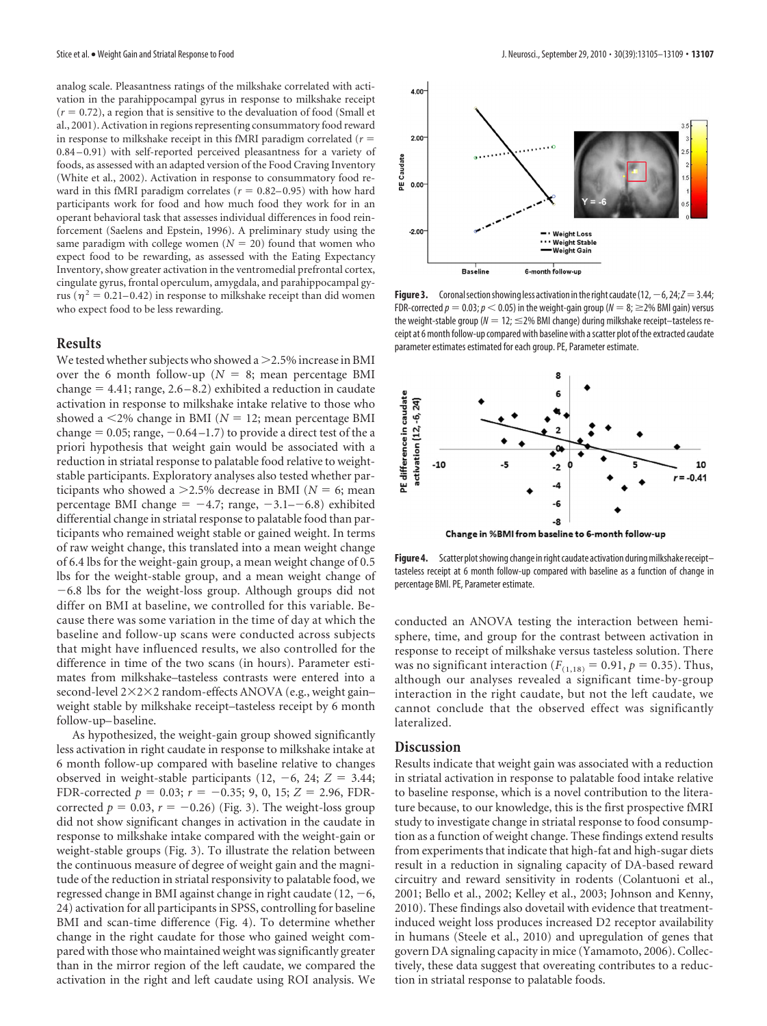analog scale. Pleasantness ratings of the milkshake correlated with activation in the parahippocampal gyrus in response to milkshake receipt  $(r = 0.72)$ , a region that is sensitive to the devaluation of food (Small et al., 2001). Activation in regions representing consummatory food reward in response to milkshake receipt in this fMRI paradigm correlated  $(r =$ 0.84 – 0.91) with self-reported perceived pleasantness for a variety of foods, as assessed with an adapted version of the Food Craving Inventory (White et al., 2002). Activation in response to consummatory food reward in this fMRI paradigm correlates  $(r = 0.82 - 0.95)$  with how hard participants work for food and how much food they work for in an operant behavioral task that assesses individual differences in food reinforcement (Saelens and Epstein, 1996). A preliminary study using the same paradigm with college women  $(N = 20)$  found that women who expect food to be rewarding, as assessed with the Eating Expectancy Inventory, show greater activation in the ventromedial prefrontal cortex, cingulate gyrus, frontal operculum, amygdala, and parahippocampal gyrus ( $\eta^2 = 0.21 - 0.42$ ) in response to milkshake receipt than did women who expect food to be less rewarding.

## **Results**

We tested whether subjects who showed a  $>$  2.5% increase in BMI over the 6 month follow-up ( $N = 8$ ; mean percentage BMI change - 4.41; range, 2.6 –8.2) exhibited a reduction in caudate activation in response to milkshake intake relative to those who showed a  $\leq$ 2% change in BMI ( $N = 12$ ; mean percentage BMI change  $= 0.05$ ; range,  $-0.64 - 1.7$ ) to provide a direct test of the a priori hypothesis that weight gain would be associated with a reduction in striatal response to palatable food relative to weightstable participants. Exploratory analyses also tested whether participants who showed a  $>$  2.5% decrease in BMI ( $N = 6$ ; mean percentage BMI change  $= -4.7$ ; range,  $-3.1 - -6.8$ ) exhibited differential change in striatal response to palatable food than participants who remained weight stable or gained weight. In terms of raw weight change, this translated into a mean weight change of 6.4 lbs for the weight-gain group, a mean weight change of 0.5 lbs for the weight-stable group, and a mean weight change of  $-6.8$  lbs for the weight-loss group. Although groups did not differ on BMI at baseline, we controlled for this variable. Because there was some variation in the time of day at which the baseline and follow-up scans were conducted across subjects that might have influenced results, we also controlled for the difference in time of the two scans (in hours). Parameter estimates from milkshake–tasteless contrasts were entered into a second-level 2×2×2 random-effects ANOVA (e.g., weight gain– weight stable by milkshake receipt–tasteless receipt by 6 month follow-up– baseline.

As hypothesized, the weight-gain group showed significantly less activation in right caudate in response to milkshake intake at 6 month follow-up compared with baseline relative to changes observed in weight-stable participants  $(12, -6, 24; Z = 3.44;$ FDR-corrected  $p = 0.03$ ;  $r = -0.35$ ; 9, 0, 15;  $Z = 2.96$ , FDRcorrected  $p = 0.03$ ,  $r = -0.26$ ) (Fig. 3). The weight-loss group did not show significant changes in activation in the caudate in response to milkshake intake compared with the weight-gain or weight-stable groups (Fig. 3). To illustrate the relation between the continuous measure of degree of weight gain and the magnitude of the reduction in striatal responsivity to palatable food, we regressed change in BMI against change in right caudate (12,  $-6$ , 24) activation for all participants in SPSS, controlling for baseline BMI and scan-time difference (Fig. 4). To determine whether change in the right caudate for those who gained weight compared with those who maintained weight was significantly greater than in the mirror region of the left caudate, we compared the activation in the right and left caudate using ROI analysis. We



**Figure 3.** Coronal section showing less activation in the right caudate  $(12, -6, 24; Z = 3.44;$ FDR-corrected  $p = 0.03; p < 0.05$ ) in the weight-gain group ( $N = 8; \geq$ 2% BMI gain) versus the weight-stable group (N = 12; ≤2% BMI change) during milkshake receipt—tasteless receipt at 6 month follow-up compared with baseline with a scatter plot of the extracted caudate parameter estimates estimated for each group. PE, Parameter estimate.



Figure 4. Scatter plot showing change in right caudate activation during milkshake receipttasteless receipt at 6 month follow-up compared with baseline as a function of change in percentage BMI. PE, Parameter estimate.

conducted an ANOVA testing the interaction between hemisphere, time, and group for the contrast between activation in response to receipt of milkshake versus tasteless solution. There was no significant interaction ( $F_{(1,18)} = 0.91$ ,  $p = 0.35$ ). Thus, although our analyses revealed a significant time-by-group interaction in the right caudate, but not the left caudate, we cannot conclude that the observed effect was significantly lateralized.

## **Discussion**

Results indicate that weight gain was associated with a reduction in striatal activation in response to palatable food intake relative to baseline response, which is a novel contribution to the literature because, to our knowledge, this is the first prospective fMRI study to investigate change in striatal response to food consumption as a function of weight change. These findings extend results from experiments that indicate that high-fat and high-sugar diets result in a reduction in signaling capacity of DA-based reward circuitry and reward sensitivity in rodents (Colantuoni et al., 2001; Bello et al., 2002; Kelley et al., 2003; Johnson and Kenny, 2010). These findings also dovetail with evidence that treatmentinduced weight loss produces increased D2 receptor availability in humans (Steele et al., 2010) and upregulation of genes that govern DA signaling capacity in mice (Yamamoto, 2006). Collectively, these data suggest that overeating contributes to a reduction in striatal response to palatable foods.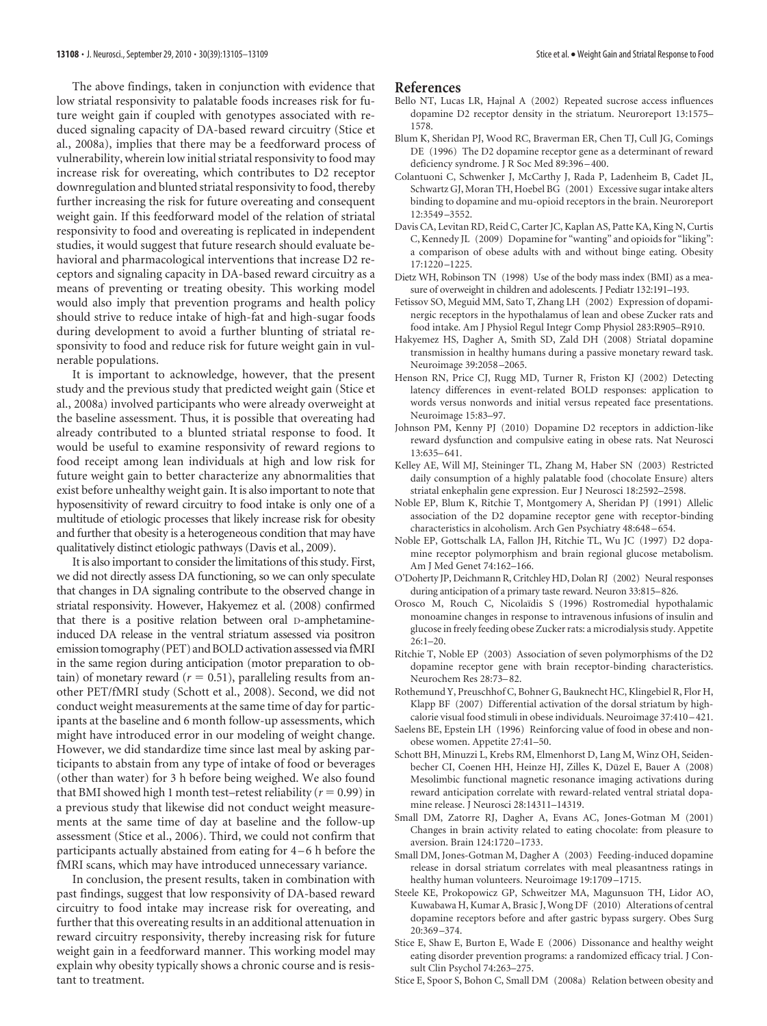The above findings, taken in conjunction with evidence that low striatal responsivity to palatable foods increases risk for future weight gain if coupled with genotypes associated with reduced signaling capacity of DA-based reward circuitry (Stice et al., 2008a), implies that there may be a feedforward process of vulnerability, wherein low initial striatal responsivity to food may increase risk for overeating, which contributes to D2 receptor downregulation and blunted striatal responsivity to food, thereby further increasing the risk for future overeating and consequent weight gain. If this feedforward model of the relation of striatal responsivity to food and overeating is replicated in independent studies, it would suggest that future research should evaluate behavioral and pharmacological interventions that increase D2 receptors and signaling capacity in DA-based reward circuitry as a means of preventing or treating obesity. This working model would also imply that prevention programs and health policy should strive to reduce intake of high-fat and high-sugar foods during development to avoid a further blunting of striatal responsivity to food and reduce risk for future weight gain in vulnerable populations.

It is important to acknowledge, however, that the present study and the previous study that predicted weight gain (Stice et al., 2008a) involved participants who were already overweight at the baseline assessment. Thus, it is possible that overeating had already contributed to a blunted striatal response to food. It would be useful to examine responsivity of reward regions to food receipt among lean individuals at high and low risk for future weight gain to better characterize any abnormalities that exist before unhealthy weight gain. It is also important to note that hyposensitivity of reward circuitry to food intake is only one of a multitude of etiologic processes that likely increase risk for obesity and further that obesity is a heterogeneous condition that may have qualitatively distinct etiologic pathways (Davis et al., 2009).

It is also important to consider the limitations of this study. First, we did not directly assess DA functioning, so we can only speculate that changes in DA signaling contribute to the observed change in striatal responsivity. However, Hakyemez et al. (2008) confirmed that there is a positive relation between oral D-amphetamineinduced DA release in the ventral striatum assessed via positron emission tomography (PET) and BOLD activation assessed viafMRI in the same region during anticipation (motor preparation to ob- $\tau$  tain) of monetary reward ( $r = 0.51$ ), paralleling results from another PET/fMRI study (Schott et al., 2008). Second, we did not conduct weight measurements at the same time of day for participants at the baseline and 6 month follow-up assessments, which might have introduced error in our modeling of weight change. However, we did standardize time since last meal by asking participants to abstain from any type of intake of food or beverages (other than water) for 3 h before being weighed. We also found that BMI showed high 1 month test–retest reliability ( $r = 0.99$ ) in a previous study that likewise did not conduct weight measurements at the same time of day at baseline and the follow-up assessment (Stice et al., 2006). Third, we could not confirm that participants actually abstained from eating for 4 –6 h before the fMRI scans, which may have introduced unnecessary variance.

In conclusion, the present results, taken in combination with past findings, suggest that low responsivity of DA-based reward circuitry to food intake may increase risk for overeating, and further that this overeating results in an additional attenuation in reward circuitry responsivity, thereby increasing risk for future weight gain in a feedforward manner. This working model may explain why obesity typically shows a chronic course and is resistant to treatment.

#### **References**

- Bello NT, Lucas LR, Hajnal A (2002) Repeated sucrose access influences dopamine D2 receptor density in the striatum. Neuroreport 13:1575– 1578.
- Blum K, Sheridan PJ, Wood RC, Braverman ER, Chen TJ, Cull JG, Comings DE (1996) The D2 dopamine receptor gene as a determinant of reward deficiency syndrome. J R Soc Med 89:396 –400.
- Colantuoni C, Schwenker J, McCarthy J, Rada P, Ladenheim B, Cadet JL, Schwartz GJ, Moran TH, Hoebel BG (2001) Excessive sugar intake alters binding to dopamine and mu-opioid receptors in the brain. Neuroreport 12:3549 –3552.
- Davis CA, Levitan RD, Reid C, Carter JC, Kaplan AS, Patte KA, King N, Curtis C, Kennedy JL (2009) Dopamine for "wanting" and opioids for "liking": a comparison of obese adults with and without binge eating. Obesity 17:1220 –1225.
- Dietz WH, Robinson TN (1998) Use of the body mass index (BMI) as a measure of overweight in children and adolescents. J Pediatr 132:191–193.
- Fetissov SO, Meguid MM, Sato T, Zhang LH (2002) Expression of dopaminergic receptors in the hypothalamus of lean and obese Zucker rats and food intake. Am J Physiol Regul Integr Comp Physiol 283:R905–R910.
- Hakyemez HS, Dagher A, Smith SD, Zald DH (2008) Striatal dopamine transmission in healthy humans during a passive monetary reward task. Neuroimage 39:2058 –2065.
- Henson RN, Price CJ, Rugg MD, Turner R, Friston KJ (2002) Detecting latency differences in event-related BOLD responses: application to words versus nonwords and initial versus repeated face presentations. Neuroimage 15:83–97.
- Johnson PM, Kenny PJ (2010) Dopamine D2 receptors in addiction-like reward dysfunction and compulsive eating in obese rats. Nat Neurosci 13:635–641.
- Kelley AE, Will MJ, Steininger TL, Zhang M, Haber SN (2003) Restricted daily consumption of a highly palatable food (chocolate Ensure) alters striatal enkephalin gene expression. Eur J Neurosci 18:2592–2598.
- Noble EP, Blum K, Ritchie T, Montgomery A, Sheridan PJ (1991) Allelic association of the D2 dopamine receptor gene with receptor-binding characteristics in alcoholism. Arch Gen Psychiatry 48:648 –654.
- Noble EP, Gottschalk LA, Fallon JH, Ritchie TL, Wu JC (1997) D2 dopamine receptor polymorphism and brain regional glucose metabolism. Am J Med Genet 74:162–166.
- O'Doherty JP, Deichmann R, Critchley HD, Dolan RJ (2002) Neural responses during anticipation of a primary taste reward. Neuron 33:815–826.
- Orosco M, Rouch C, Nicolaïdis S (1996) Rostromedial hypothalamic monoamine changes in response to intravenous infusions of insulin and glucose in freely feeding obese Zucker rats: a microdialysis study. Appetite  $26:1-20.$
- Ritchie T, Noble EP (2003) Association of seven polymorphisms of the D2 dopamine receptor gene with brain receptor-binding characteristics. Neurochem Res 28:73–82.
- Rothemund Y, Preuschhof C, Bohner G, Bauknecht HC, Klingebiel R, Flor H, Klapp BF (2007) Differential activation of the dorsal striatum by highcalorie visual food stimuli in obese individuals. Neuroimage 37:410 –421.
- Saelens BE, Epstein LH (1996) Reinforcing value of food in obese and nonobese women. Appetite 27:41–50.
- Schott BH, Minuzzi L, Krebs RM, Elmenhorst D, Lang M, Winz OH, Seidenbecher CI, Coenen HH, Heinze HJ, Zilles K, Düzel E, Bauer A (2008) Mesolimbic functional magnetic resonance imaging activations during reward anticipation correlate with reward-related ventral striatal dopamine release. J Neurosci 28:14311–14319.
- Small DM, Zatorre RJ, Dagher A, Evans AC, Jones-Gotman M (2001) Changes in brain activity related to eating chocolate: from pleasure to aversion. Brain 124:1720 –1733.
- Small DM, Jones-Gotman M, Dagher A (2003) Feeding-induced dopamine release in dorsal striatum correlates with meal pleasantness ratings in healthy human volunteers. Neuroimage 19:1709 –1715.
- Steele KE, Prokopowicz GP, Schweitzer MA, Magunsuon TH, Lidor AO, Kuwabawa H, Kumar A, Brasic J, Wong DF (2010) Alterations of central dopamine receptors before and after gastric bypass surgery. Obes Surg 20:369 –374.
- Stice E, Shaw E, Burton E, Wade E (2006) Dissonance and healthy weight eating disorder prevention programs: a randomized efficacy trial. J Consult Clin Psychol 74:263–275.
- Stice E, Spoor S, Bohon C, Small DM (2008a) Relation between obesity and